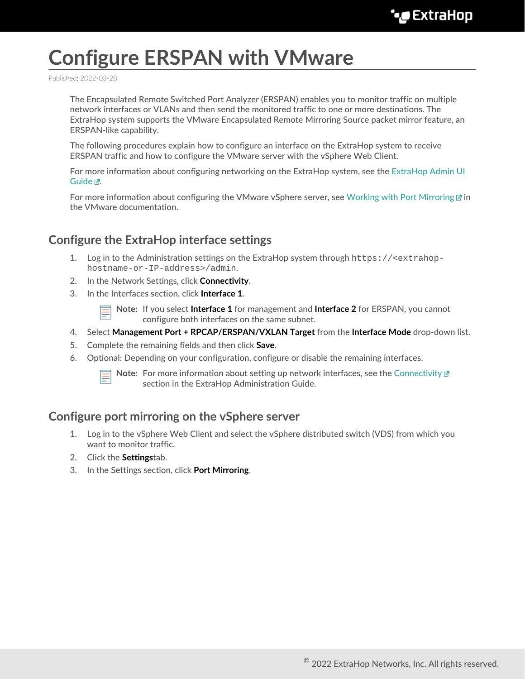# **Configure ERSPAN with VMware**

Published: 2022-03-28

The Encapsulated Remote Switched Port Analyzer (ERSPAN) enables you to monitor traffic on multiple network interfaces or VLANs and then send the monitored traffic to one or more destinations. The ExtraHop system supports the VMware Encapsulated Remote Mirroring Source packet mirror feature, an ERSPAN-like capability.

The following procedures explain how to configure an interface on the ExtraHop system to receive ERSPAN traffic and how to configure the VMware server with the vSphere Web Client.

For more information about configuring networking on the ExtraHop system, see the [ExtraHop Admin UI](https://docs.extrahop.com/8.7/eh-admin-ui-guide/) [Guide](https://docs.extrahop.com/8.7/eh-admin-ui-guide/) <sub>.</sub>.

For more information about configuring the VMware vSphere server, see [Working with Port Mirroring](https://docs.vmware.com/en/VMware-vSphere/7.0/com.vmware.vsphere.networking.doc/GUID-CFFD9157-FC17-440D-BDB4-E16FD447A1BA.html) **F** in the VMware documentation.

### **Configure the ExtraHop interface settings**

- 1. Log in to the Administration settings on the ExtraHop system through https://<extrahophostname-or-IP-address>/admin.
- 2. In the Network Settings, click **Connectivity**.
- 3. In the Interfaces section, click **Interface 1**.

**Note:** If you select **Interface 1** for management and **Interface 2** for ERSPAN, you cannot configure both interfaces on the same subnet.

- 4. Select **Management Port + RPCAP/ERSPAN/VXLAN Target** from the **Interface Mode** drop-down list.
- 5. Complete the remaining fields and then click **Save**.
- 6. Optional: Depending on your configuration, configure or disable the remaining interfaces.



**Note:** For more information about setting up network interfaces, see the [Connectivity](https://docs.extrahop.com/8.7/eta-admin-ui-guide/#connectivity)  $\mathbb{F}$ section in the ExtraHop Administration Guide.

#### **Configure port mirroring on the vSphere server**

- 1. Log in to the vSphere Web Client and select the vSphere distributed switch (VDS) from which you want to monitor traffic.
- 2. Click the **Settings**tab.
- 3. In the Settings section, click **Port Mirroring**.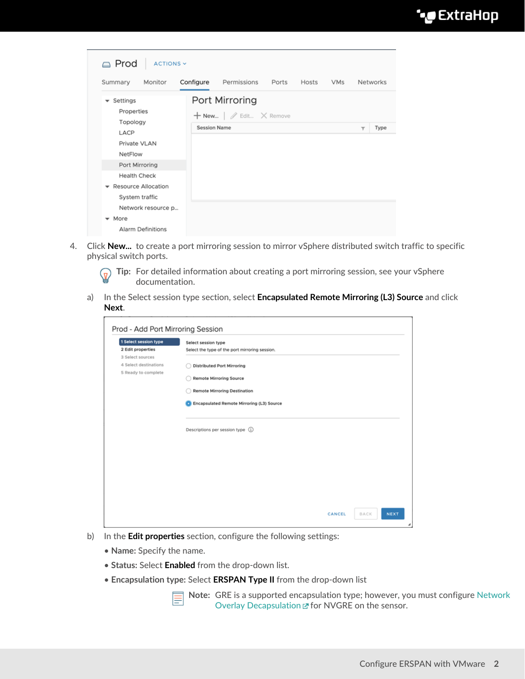

| <b>△</b> Prod<br>ACTIONS Y                                        |                     |                                              |       |       |            |                         |          |
|-------------------------------------------------------------------|---------------------|----------------------------------------------|-------|-------|------------|-------------------------|----------|
| Summary<br>Monitor                                                | Configure           | Permissions                                  | Ports | Hosts | <b>VMs</b> |                         | Networks |
| Settings<br>$\overline{\phantom{a}}$<br>Properties                |                     | Port Mirroring                               |       |       |            |                         |          |
| Topology<br>LACP<br>Private VLAN<br>NetFlow                       | <b>Session Name</b> | $+$ New   $\mathscr{D}$ Edit $\times$ Remove |       |       |            | $\overline{\mathbf{Y}}$ | Type     |
| Port Mirroring<br><b>Health Check</b>                             |                     |                                              |       |       |            |                         |          |
| Resource Allocation<br>$\overline{\phantom{a}}$<br>System traffic |                     |                                              |       |       |            |                         |          |
| Network resource p                                                |                     |                                              |       |       |            |                         |          |
| $\bullet$ More<br><b>Alarm Definitions</b>                        |                     |                                              |       |       |            |                         |          |

4. Click **New...** to create a port mirroring session to mirror vSphere distributed switch traffic to specific physical switch ports.

**Tip:** For detailed information about creating a port mirroring session, see your vSphere  $\mathcal{L}$ documentation.

a) In the Select session type section, select **Encapsulated Remote Mirroring (L3) Source** and click **Next**.

| 1 Select session type | Select session type                            |  |  |  |  |  |
|-----------------------|------------------------------------------------|--|--|--|--|--|
| 2 Edit properties     | Select the type of the port mirroring session. |  |  |  |  |  |
| 3 Select sources      |                                                |  |  |  |  |  |
| 4 Select destinations | <b>Distributed Port Mirroring</b>              |  |  |  |  |  |
| 5 Ready to complete   | <b>Remote Mirroring Source</b>                 |  |  |  |  |  |
|                       |                                                |  |  |  |  |  |
|                       | <b>Remote Mirroring Destination</b>            |  |  |  |  |  |
|                       | Encapsulated Remote Mirroring (L3) Source      |  |  |  |  |  |
|                       |                                                |  |  |  |  |  |
|                       |                                                |  |  |  |  |  |
|                       | Descriptions per session type (1)              |  |  |  |  |  |
|                       |                                                |  |  |  |  |  |
|                       |                                                |  |  |  |  |  |
|                       |                                                |  |  |  |  |  |
|                       |                                                |  |  |  |  |  |
|                       |                                                |  |  |  |  |  |
|                       |                                                |  |  |  |  |  |
|                       |                                                |  |  |  |  |  |
|                       |                                                |  |  |  |  |  |

- b) In the **Edit properties** section, configure the following settings:
	- **Name:** Specify the name.
	- **Status:** Select **Enabled** from the drop-down list.
	- **Encapsulation type:** Select **ERSPAN Type II** from the drop-down list

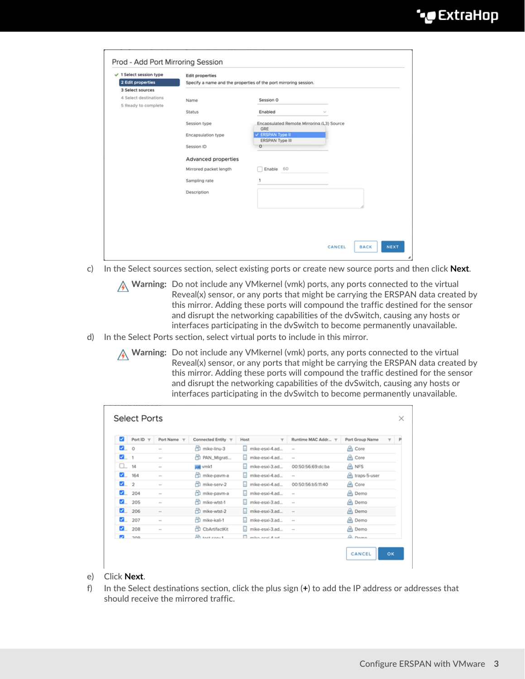| $\checkmark$ 1 Select session type | <b>Edit properties</b> |                                                                  |
|------------------------------------|------------------------|------------------------------------------------------------------|
| 2 Edit properties                  |                        | Specify a name and the properties of the port mirroring session. |
| 3 Select sources                   |                        |                                                                  |
| 4 Select destinations              | Name                   | Session 0                                                        |
| 5 Ready to complete                |                        |                                                                  |
|                                    | Status                 | Enabled<br>$\sim$                                                |
|                                    | Session type           | Encapsulated Remote Mirroring (L3) Source<br>GRE                 |
|                                    | Encapsulation type     | V ERSPAN Type II                                                 |
|                                    | Session ID             | ERSPAN Type III<br>O                                             |
|                                    |                        |                                                                  |
|                                    | Advanced properties    |                                                                  |
|                                    | Mirrored packet length | Enable 60                                                        |
|                                    | Sampling rate          | 1                                                                |
|                                    | Description            |                                                                  |
|                                    |                        |                                                                  |
|                                    |                        |                                                                  |
|                                    |                        |                                                                  |
|                                    |                        |                                                                  |
|                                    |                        |                                                                  |
|                                    |                        |                                                                  |

- c) In the Select sources section, select existing ports or create new source ports and then click **Next**.
	- **Warning:** Do not include any VMkernel (vmk) ports, any ports connected to the virtual Reveal(x) sensor, or any ports that might be carrying the ERSPAN data created by this mirror. Adding these ports will compound the traffic destined for the sensor and disrupt the networking capabilities of the dvSwitch, causing any hosts or interfaces participating in the dvSwitch to become permanently unavailable.
- d) In the Select Ports section, select virtual ports to include in this mirror.
	- **A** Warning: Do not include any VMkernel (vmk) ports, any ports connected to the virtual Reveal(x) sensor, or any ports that might be carrying the ERSPAN data created by this mirror. Adding these ports will compound the traffic destined for the sensor and disrupt the networking capabilities of the dvSwitch, causing any hosts or interfaces participating in the dvSwitch to become permanently unavailable.

| $\overline{\mathbf{z}}$ | Port ID T | Port Name T | Connected Entity T   | Host<br>$\overline{\mathbf{r}}$ | Runtime MAC Addr T       | Port Group Name | ۳ |
|-------------------------|-----------|-------------|----------------------|---------------------------------|--------------------------|-----------------|---|
| $\blacksquare$ 0        |           | $\sim$      | Htt mike-linu-3      | mike-esxi-4.ad<br>ы.            | $\sim$                   | & Core          |   |
| $\blacksquare$ 1        |           | $\sim$      | PAN_Migrati          | mike-esxi-4.ad                  | $\overline{\phantom{a}}$ | A Core          |   |
| $\Box$ 14               |           | $\sim$      | assi vmic1           | mike-esxi-3.ad                  | 00:50:56:69:dc:ba        | A NFS           |   |
|                         | 164       | $\sim$      | 伶<br>mike-pavm-a     | mike-esxi-4.ad                  | $\cdots$                 | A traps-5-user  |   |
| $\mathbf{Z}$ 2          |           | $\sim$      | m<br>mike-serv-2     | mike-esxi-4.ad                  | 00:50:56:b5:11:40        | A Core          |   |
|                         | 204       | $\sim$      | mike-pavm-a          | mike-esxi-4.ad                  | $\sim$                   | <b>色 Demo</b>   |   |
|                         | 205       | $\sim$      | mike-wtst-1          | mike-esxi-3.ad<br>m.            | $\sim$                   | A Demo          |   |
|                         | 206       | $\sim$      | mike-wtst-2          | mike-esxi-3.ad<br>ы             | $\sim$                   | A Demo          |   |
| м.                      | 207       | $\sim$      | mike-kali-1          | mike-esxi-3.ad                  | $\sim$                   | <b>色 Demo</b>   |   |
|                         | 208       | $\sim$      | CbArtifactKit        | mike-esxi-3.ad                  | $\sim$                   | A Demo          |   |
| m                       | 200       |             | <b>Rt tool const</b> | $\Box$ million movil $A$ and    |                          | A Bama          |   |

#### e) Click **Next**.

f) In the Select destinations section, click the plus sign (**+**) to add the IP address or addresses that should receive the mirrored traffic.